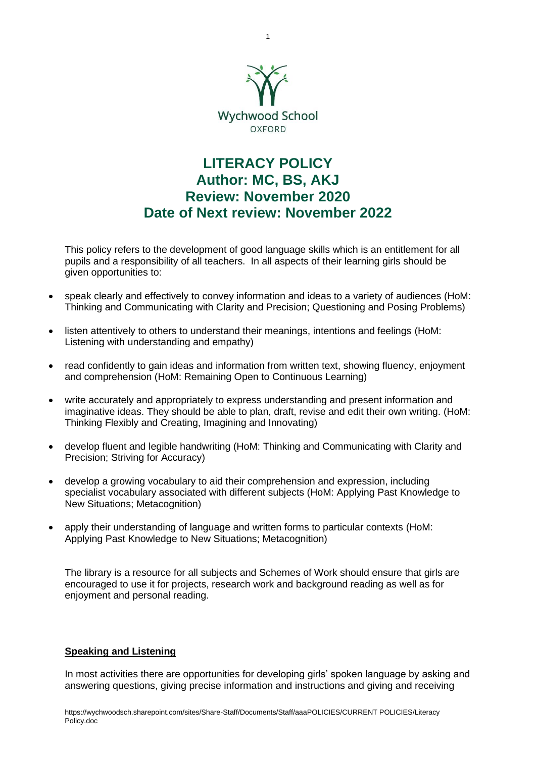

# **LITERACY POLICY Author: MC, BS, AKJ Review: November 2020 Date of Next review: November 2022**

This policy refers to the development of good language skills which is an entitlement for all pupils and a responsibility of all teachers. In all aspects of their learning girls should be given opportunities to:

- speak clearly and effectively to convey information and ideas to a variety of audiences (HoM: Thinking and Communicating with Clarity and Precision; Questioning and Posing Problems)
- listen attentively to others to understand their meanings, intentions and feelings (HoM: Listening with understanding and empathy)
- read confidently to gain ideas and information from written text, showing fluency, enjoyment and comprehension (HoM: Remaining Open to Continuous Learning)
- write accurately and appropriately to express understanding and present information and imaginative ideas. They should be able to plan, draft, revise and edit their own writing. (HoM: Thinking Flexibly and Creating, Imagining and Innovating)
- develop fluent and legible handwriting (HoM: Thinking and Communicating with Clarity and Precision; Striving for Accuracy)
- develop a growing vocabulary to aid their comprehension and expression, including specialist vocabulary associated with different subjects (HoM: Applying Past Knowledge to New Situations; Metacognition)
- apply their understanding of language and written forms to particular contexts (HoM: Applying Past Knowledge to New Situations; Metacognition)

The library is a resource for all subjects and Schemes of Work should ensure that girls are encouraged to use it for projects, research work and background reading as well as for enjoyment and personal reading.

# **Speaking and Listening**

In most activities there are opportunities for developing girls' spoken language by asking and answering questions, giving precise information and instructions and giving and receiving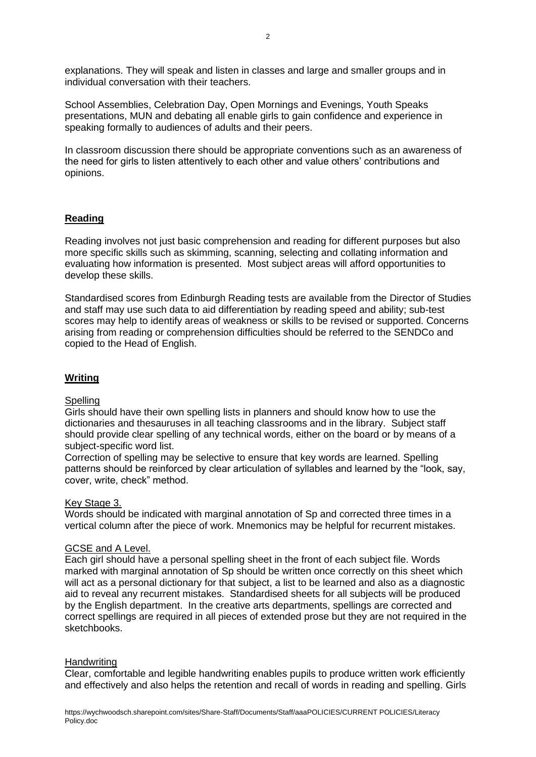explanations. They will speak and listen in classes and large and smaller groups and in individual conversation with their teachers.

School Assemblies, Celebration Day, Open Mornings and Evenings, Youth Speaks presentations, MUN and debating all enable girls to gain confidence and experience in speaking formally to audiences of adults and their peers.

In classroom discussion there should be appropriate conventions such as an awareness of the need for girls to listen attentively to each other and value others' contributions and opinions.

# **Reading**

Reading involves not just basic comprehension and reading for different purposes but also more specific skills such as skimming, scanning, selecting and collating information and evaluating how information is presented. Most subject areas will afford opportunities to develop these skills.

Standardised scores from Edinburgh Reading tests are available from the Director of Studies and staff may use such data to aid differentiation by reading speed and ability; sub-test scores may help to identify areas of weakness or skills to be revised or supported. Concerns arising from reading or comprehension difficulties should be referred to the SENDCo and copied to the Head of English.

## **Writing**

# **Spelling**

Girls should have their own spelling lists in planners and should know how to use the dictionaries and thesauruses in all teaching classrooms and in the library. Subject staff should provide clear spelling of any technical words, either on the board or by means of a subject-specific word list.

Correction of spelling may be selective to ensure that key words are learned. Spelling patterns should be reinforced by clear articulation of syllables and learned by the "look, say, cover, write, check" method.

#### Key Stage 3.

Words should be indicated with marginal annotation of Sp and corrected three times in a vertical column after the piece of work. Mnemonics may be helpful for recurrent mistakes.

#### GCSE and A Level.

Each girl should have a personal spelling sheet in the front of each subject file. Words marked with marginal annotation of Sp should be written once correctly on this sheet which will act as a personal dictionary for that subject, a list to be learned and also as a diagnostic aid to reveal any recurrent mistakes. Standardised sheets for all subjects will be produced by the English department. In the creative arts departments, spellings are corrected and correct spellings are required in all pieces of extended prose but they are not required in the sketchbooks.

#### **Handwriting**

Clear, comfortable and legible handwriting enables pupils to produce written work efficiently and effectively and also helps the retention and recall of words in reading and spelling. Girls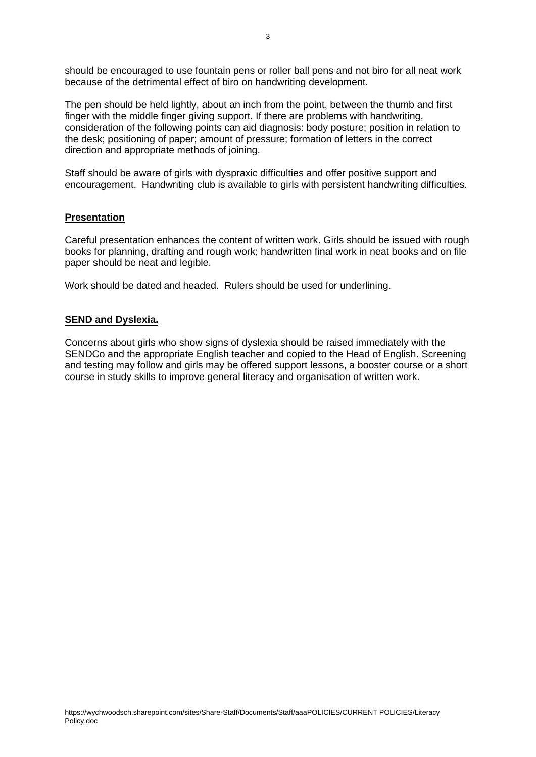The pen should be held lightly, about an inch from the point, between the thumb and first finger with the middle finger giving support. If there are problems with handwriting, consideration of the following points can aid diagnosis: body posture; position in relation to the desk; positioning of paper; amount of pressure; formation of letters in the correct direction and appropriate methods of joining.

Staff should be aware of girls with dyspraxic difficulties and offer positive support and encouragement. Handwriting club is available to girls with persistent handwriting difficulties.

# **Presentation**

Careful presentation enhances the content of written work. Girls should be issued with rough books for planning, drafting and rough work; handwritten final work in neat books and on file paper should be neat and legible.

Work should be dated and headed. Rulers should be used for underlining.

### **SEND and Dyslexia.**

Concerns about girls who show signs of dyslexia should be raised immediately with the SENDCo and the appropriate English teacher and copied to the Head of English. Screening and testing may follow and girls may be offered support lessons, a booster course or a short course in study skills to improve general literacy and organisation of written work.